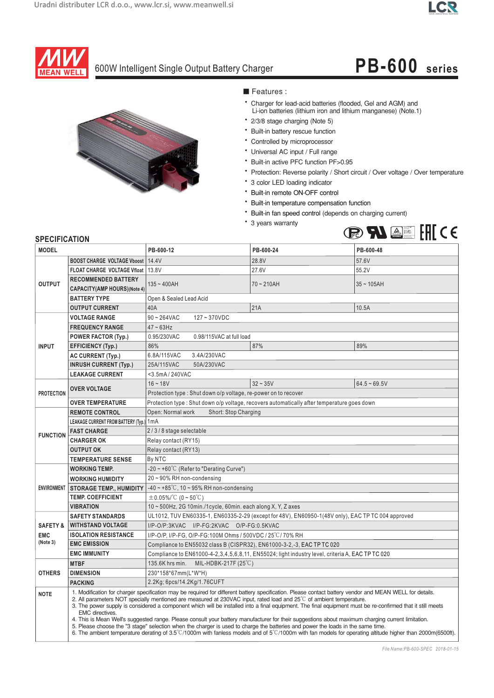### **LCR**



## 600W Intelligent Single Output Battery Charger **PB-600 series**



■ Features :

- \* Charger for lead-acid batteries (flooded, Gel and AGM) and Li-ion batteries (lithium iron and lithium manganese) (Note.1)
- \* 2/3/8 stage charging (Note 5)
- \* Built-in battery rescue function
- \* Controlled by microprocessor
- \* Universal AC input / Full range
- \* Built-in active PFC function PF>0.95
- Protection: Reverse polarity / Short circuit / Over voltage / Over temperature
- \* 3 color LED loading indicator
- \* Built-in remote ON-OFF control
- \* Built-in temperature compensation function
- \* Built-in fan speed control (depends on charging current)
- \* 3 years warranty



| <b>MODEL</b>        |                                            | PB-600-12                                                                                                                                                                                                                                                                                                                                                                                                                                                                                                                                                                                                                                                                                                                                                                                                                                                                                         | PB-600-24                                                                                              | PB-600-48      |  |  |
|---------------------|--------------------------------------------|---------------------------------------------------------------------------------------------------------------------------------------------------------------------------------------------------------------------------------------------------------------------------------------------------------------------------------------------------------------------------------------------------------------------------------------------------------------------------------------------------------------------------------------------------------------------------------------------------------------------------------------------------------------------------------------------------------------------------------------------------------------------------------------------------------------------------------------------------------------------------------------------------|--------------------------------------------------------------------------------------------------------|----------------|--|--|
| <b>OUTPUT</b>       | <b>BOOST CHARGE VOLTAGE Vboost   14.4V</b> |                                                                                                                                                                                                                                                                                                                                                                                                                                                                                                                                                                                                                                                                                                                                                                                                                                                                                                   | 28.8V                                                                                                  | 57.6V          |  |  |
|                     | <b>FLOAT CHARGE VOLTAGE Vfloat</b>         | 13.8V                                                                                                                                                                                                                                                                                                                                                                                                                                                                                                                                                                                                                                                                                                                                                                                                                                                                                             | 27.6V                                                                                                  | 55.2V          |  |  |
|                     | <b>RECOMMENDED BATTERY</b>                 |                                                                                                                                                                                                                                                                                                                                                                                                                                                                                                                                                                                                                                                                                                                                                                                                                                                                                                   |                                                                                                        |                |  |  |
|                     | CAPACITY(AMP HOURS)(Note 4)                | $135 - 400AH$                                                                                                                                                                                                                                                                                                                                                                                                                                                                                                                                                                                                                                                                                                                                                                                                                                                                                     | $70 - 210AH$                                                                                           | $35 - 105AH$   |  |  |
|                     | <b>BATTERY TYPE</b>                        | Open & Sealed Lead Acid                                                                                                                                                                                                                                                                                                                                                                                                                                                                                                                                                                                                                                                                                                                                                                                                                                                                           |                                                                                                        |                |  |  |
|                     | <b>OUTPUT CURRENT</b>                      | 40A                                                                                                                                                                                                                                                                                                                                                                                                                                                                                                                                                                                                                                                                                                                                                                                                                                                                                               | 21A                                                                                                    | 10.5A          |  |  |
| <b>INPUT</b>        | <b>VOLTAGE RANGE</b>                       | $90 \sim 264$ VAC<br>$127 - 370$ VDC                                                                                                                                                                                                                                                                                                                                                                                                                                                                                                                                                                                                                                                                                                                                                                                                                                                              |                                                                                                        |                |  |  |
|                     | <b>FREQUENCY RANGE</b>                     | $47 - 63$ Hz                                                                                                                                                                                                                                                                                                                                                                                                                                                                                                                                                                                                                                                                                                                                                                                                                                                                                      |                                                                                                        |                |  |  |
|                     | <b>POWER FACTOR (Typ.)</b>                 | 0.95/230VAC<br>0.98/115VAC at full load                                                                                                                                                                                                                                                                                                                                                                                                                                                                                                                                                                                                                                                                                                                                                                                                                                                           |                                                                                                        |                |  |  |
|                     | <b>EFFICIENCY (Typ.)</b>                   | 86%                                                                                                                                                                                                                                                                                                                                                                                                                                                                                                                                                                                                                                                                                                                                                                                                                                                                                               | 87%                                                                                                    | 89%            |  |  |
|                     | AC CURRENT (Typ.)                          | 6.8A/115VAC<br>3.4A/230VAC                                                                                                                                                                                                                                                                                                                                                                                                                                                                                                                                                                                                                                                                                                                                                                                                                                                                        |                                                                                                        |                |  |  |
|                     | <b>INRUSH CURRENT (Typ.)</b>               | 25A/115VAC<br>50A/230VAC                                                                                                                                                                                                                                                                                                                                                                                                                                                                                                                                                                                                                                                                                                                                                                                                                                                                          |                                                                                                        |                |  |  |
|                     | <b>LEAKAGE CURRENT</b>                     | <3.5mA/240VAC                                                                                                                                                                                                                                                                                                                                                                                                                                                                                                                                                                                                                                                                                                                                                                                                                                                                                     |                                                                                                        |                |  |  |
| <b>PROTECTION</b>   | <b>OVER VOLTAGE</b>                        | $16 - 18V$                                                                                                                                                                                                                                                                                                                                                                                                                                                                                                                                                                                                                                                                                                                                                                                                                                                                                        | $32 - 35V$                                                                                             | $64.5 - 69.5V$ |  |  |
|                     |                                            | Protection type: Shut down o/p voltage, re-power on to recover                                                                                                                                                                                                                                                                                                                                                                                                                                                                                                                                                                                                                                                                                                                                                                                                                                    |                                                                                                        |                |  |  |
|                     | <b>OVER TEMPERATURE</b>                    | Protection type: Shut down o/p voltage, recovers automatically after temperature goes down                                                                                                                                                                                                                                                                                                                                                                                                                                                                                                                                                                                                                                                                                                                                                                                                        |                                                                                                        |                |  |  |
|                     | <b>REMOTE CONTROL</b>                      | Short: Stop Charging<br>Open: Normal work                                                                                                                                                                                                                                                                                                                                                                                                                                                                                                                                                                                                                                                                                                                                                                                                                                                         |                                                                                                        |                |  |  |
|                     | LEAKAGE CURRENT FROM BATTERY (Typ.) 1mA    |                                                                                                                                                                                                                                                                                                                                                                                                                                                                                                                                                                                                                                                                                                                                                                                                                                                                                                   |                                                                                                        |                |  |  |
| <b>FUNCTION</b>     | <b>FAST CHARGE</b>                         | 2/3/8 stage selectable                                                                                                                                                                                                                                                                                                                                                                                                                                                                                                                                                                                                                                                                                                                                                                                                                                                                            |                                                                                                        |                |  |  |
|                     | <b>CHARGER OK</b>                          | Relay contact (RY15)                                                                                                                                                                                                                                                                                                                                                                                                                                                                                                                                                                                                                                                                                                                                                                                                                                                                              |                                                                                                        |                |  |  |
|                     | <b>OUTPUT OK</b>                           | Relay contact (RY13)                                                                                                                                                                                                                                                                                                                                                                                                                                                                                                                                                                                                                                                                                                                                                                                                                                                                              |                                                                                                        |                |  |  |
|                     | <b>TEMPERATURE SENSE</b>                   | By NTC                                                                                                                                                                                                                                                                                                                                                                                                                                                                                                                                                                                                                                                                                                                                                                                                                                                                                            |                                                                                                        |                |  |  |
|                     | <b>WORKING TEMP.</b>                       | $-20 \sim +60^{\circ}$ C (Refer to "Derating Curve")                                                                                                                                                                                                                                                                                                                                                                                                                                                                                                                                                                                                                                                                                                                                                                                                                                              |                                                                                                        |                |  |  |
|                     | <b>WORKING HUMIDITY</b>                    | 20~90% RH non-condensing                                                                                                                                                                                                                                                                                                                                                                                                                                                                                                                                                                                                                                                                                                                                                                                                                                                                          |                                                                                                        |                |  |  |
| <b>ENVIRONMENT</b>  | <b>STORAGE TEMP., HUMIDITY</b>             | $-40 \sim +85^{\circ}$ C, 10 ~ 95% RH non-condensing                                                                                                                                                                                                                                                                                                                                                                                                                                                                                                                                                                                                                                                                                                                                                                                                                                              |                                                                                                        |                |  |  |
|                     | <b>TEMP. COEFFICIENT</b>                   | $\pm$ 0.05%/°C (0~50°C)                                                                                                                                                                                                                                                                                                                                                                                                                                                                                                                                                                                                                                                                                                                                                                                                                                                                           |                                                                                                        |                |  |  |
|                     | <b>VIBRATION</b>                           | $10 \sim 500$ Hz, 2G 10min./1cycle, 60min. each along X, Y, Z axes                                                                                                                                                                                                                                                                                                                                                                                                                                                                                                                                                                                                                                                                                                                                                                                                                                |                                                                                                        |                |  |  |
|                     | <b>SAFETY STANDARDS</b>                    | UL1012, TUV EN60335-1, EN60335-2-29 (except for 48V), EN60950-1(48V only), EAC TP TC 004 approved<br>I/P-O/P:3KVAC I/P-FG:2KVAC O/P-FG:0.5KVAC                                                                                                                                                                                                                                                                                                                                                                                                                                                                                                                                                                                                                                                                                                                                                    |                                                                                                        |                |  |  |
| <b>SAFETY &amp;</b> | <b>WITHSTAND VOLTAGE</b>                   |                                                                                                                                                                                                                                                                                                                                                                                                                                                                                                                                                                                                                                                                                                                                                                                                                                                                                                   |                                                                                                        |                |  |  |
| <b>EMC</b>          | <b>ISOLATION RESISTANCE</b>                | I/P-O/P, I/P-FG, O/P-FG:100M Ohms / 500VDC / 25°C/70% RH                                                                                                                                                                                                                                                                                                                                                                                                                                                                                                                                                                                                                                                                                                                                                                                                                                          |                                                                                                        |                |  |  |
| (Note 3)            | <b>EMC EMISSION</b>                        | Compliance to EN55032 class B (CISPR32), EN61000-3-2,-3, EAC TP TC 020                                                                                                                                                                                                                                                                                                                                                                                                                                                                                                                                                                                                                                                                                                                                                                                                                            |                                                                                                        |                |  |  |
|                     | <b>EMC IMMUNITY</b>                        |                                                                                                                                                                                                                                                                                                                                                                                                                                                                                                                                                                                                                                                                                                                                                                                                                                                                                                   | Compliance to EN61000-4-2, 3, 4, 5, 6, 8, 11, EN55024; light industry level, criteria A, EAC TP TC 020 |                |  |  |
|                     | <b>MTBF</b>                                | MIL-HDBK-217F (25°C)<br>135.6K hrs min.                                                                                                                                                                                                                                                                                                                                                                                                                                                                                                                                                                                                                                                                                                                                                                                                                                                           |                                                                                                        |                |  |  |
| <b>OTHERS</b>       | <b>DIMENSION</b>                           | 230*158*67mm(L*W*H)                                                                                                                                                                                                                                                                                                                                                                                                                                                                                                                                                                                                                                                                                                                                                                                                                                                                               |                                                                                                        |                |  |  |
|                     | <b>PACKING</b>                             | 2.2Kg; 6pcs/14.2Kg/1.76CUFT                                                                                                                                                                                                                                                                                                                                                                                                                                                                                                                                                                                                                                                                                                                                                                                                                                                                       |                                                                                                        |                |  |  |
| <b>NOTE</b>         | <b>EMC</b> directives.                     | 1. Modification for charger specification may be required for different battery specification. Please contact battery vendor and MEAN WELL for details.<br>2. All parameters NOT specially mentioned are measured at 230VAC input, rated load and 25°C of ambient temperature.<br>3. The power supply is considered a component which will be installed into a final equipment. The final equipment must be re-confirmed that it still meets<br>4. This is Mean Well's suggested range. Please consult your battery manufacturer for their suggestions about maximum charging current limitation.<br>5. Please choose the "3 stage" selection when the charger is used to charge the batteries and power the loads in the same time.<br>6. The ambient temperature derating of 3.5°C/1000m with fanless models and of 5°C/1000m with fan models for operating altitude higher than 2000m(6500ft). |                                                                                                        |                |  |  |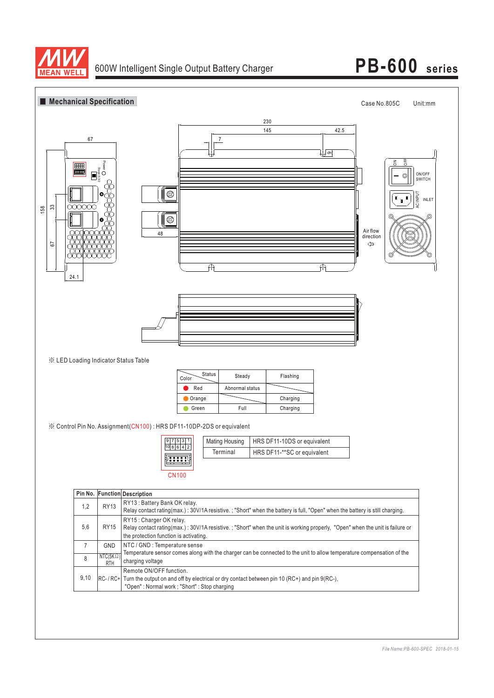

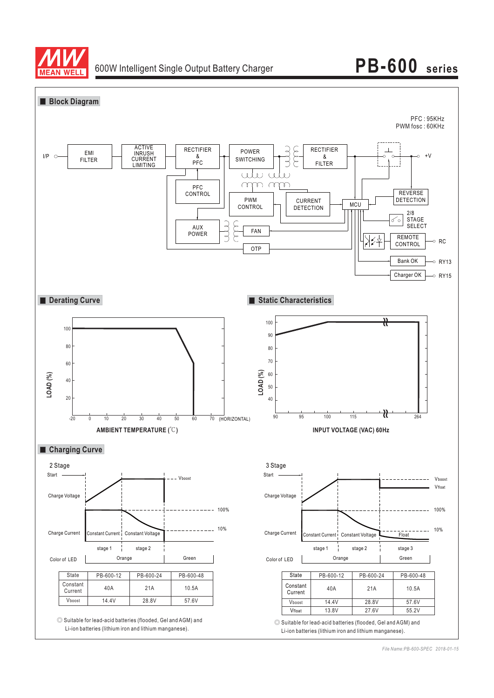

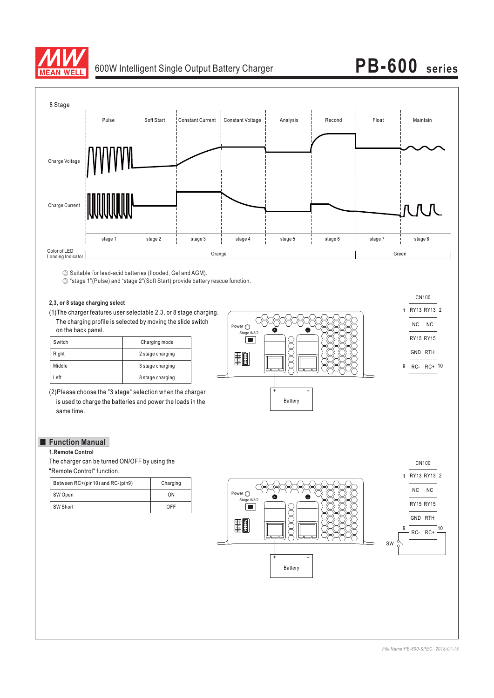

# 600W Intelligent Single Output Battery Charger **PB-600 series**



◎ Suitable for lead-acid batteries (flooded, Gel and AGM).

◎ "stage 1"(Pulse) and "stage 2"(Soft Start) provide battery rescue function.

(1)The charger features user selectable 2,3, or 8 stage charging. **2,3, or 8 stage charging select** The charging profile is selected by moving the slide switch on the back panel.

| Switch | Charging mode    |
|--------|------------------|
| Right  | 2 stage charging |
| Middle | 3 stage charging |
| Left   | 8 stage charging |

(2)Please choose the "3 stage" selection when the charger is used to charge the batteries and power the loads in the same time.

### ◇ Power  $\bigcirc$  $\sqrt{2}$ XXX  $\frac{3}{5}$   $\frac{3}{5}$   $\frac{3}{5}$ 9 – - + Battery

9 | RC- | RC+ | 10 CN100 RY13 RY13 1 2 NC RY15 RY15 GND RC-NC RTH

## **Function Manual**<br>1.Remote Control

The charger can be turned ON/OFF by using the "Remote Control" function.

| Between RC+(pin10) and RC-(pin9) | Charging |
|----------------------------------|----------|
| SW Open                          | ON       |
| SW Short                         | OFF      |